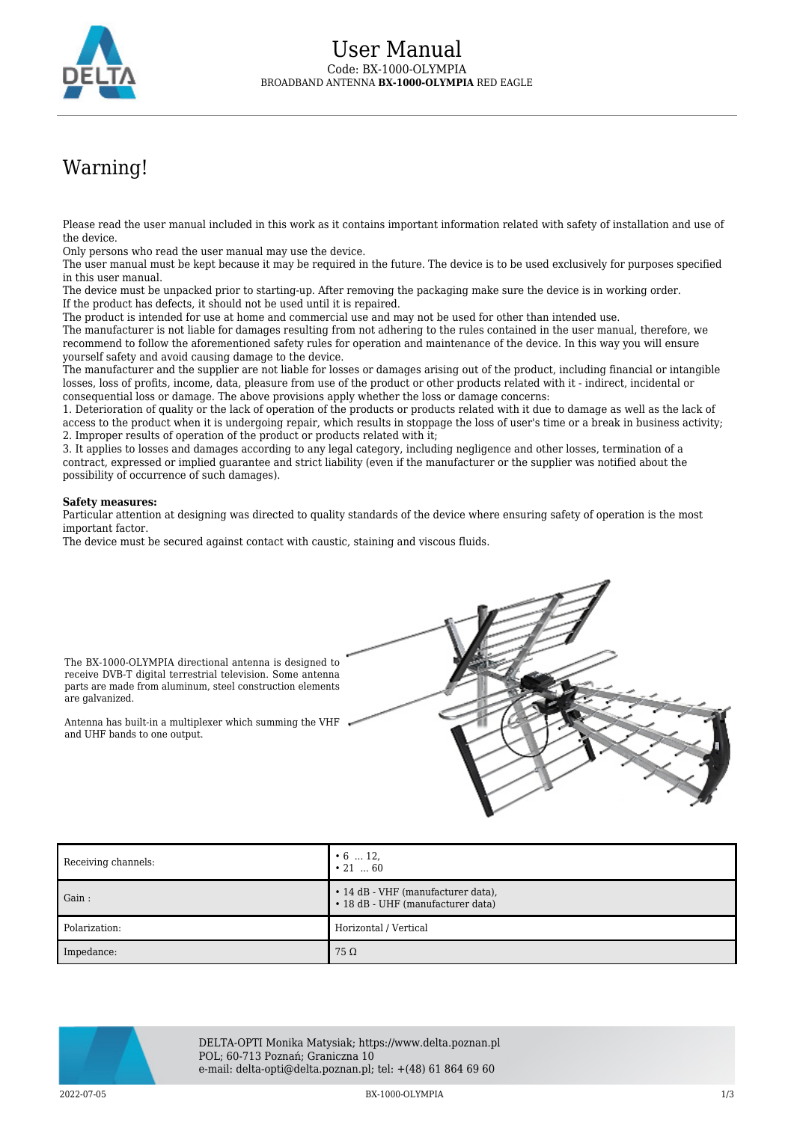

## Warning!

Please read the user manual included in this work as it contains important information related with safety of installation and use of the device.

Only persons who read the user manual may use the device.

The user manual must be kept because it may be required in the future. The device is to be used exclusively for purposes specified in this user manual.

The device must be unpacked prior to starting-up. After removing the packaging make sure the device is in working order. If the product has defects, it should not be used until it is repaired.

The product is intended for use at home and commercial use and may not be used for other than intended use.

The manufacturer is not liable for damages resulting from not adhering to the rules contained in the user manual, therefore, we recommend to follow the aforementioned safety rules for operation and maintenance of the device. In this way you will ensure yourself safety and avoid causing damage to the device.

The manufacturer and the supplier are not liable for losses or damages arising out of the product, including financial or intangible losses, loss of profits, income, data, pleasure from use of the product or other products related with it - indirect, incidental or consequential loss or damage. The above provisions apply whether the loss or damage concerns:

1. Deterioration of quality or the lack of operation of the products or products related with it due to damage as well as the lack of access to the product when it is undergoing repair, which results in stoppage the loss of user's time or a break in business activity; 2. Improper results of operation of the product or products related with it;

3. It applies to losses and damages according to any legal category, including negligence and other losses, termination of a contract, expressed or implied guarantee and strict liability (even if the manufacturer or the supplier was notified about the possibility of occurrence of such damages).

## **Safety measures:**

Particular attention at designing was directed to quality standards of the device where ensuring safety of operation is the most important factor.

The device must be secured against contact with caustic, staining and viscous fluids.



The BX-1000-OLYMPIA directional antenna is designed to receive DVB-T digital terrestrial television. Some antenna parts are made from aluminum, steel construction elements are galvanized.

Antenna has built-in a multiplexer which summing the VHF and UHF bands to one output.

| Receiving channels:   | $\cdot 6$ 12,<br>$\cdot$ 21  60                                         |
|-----------------------|-------------------------------------------------------------------------|
| $\blacksquare$ Gain : | • 14 dB - VHF (manufacturer data),<br>• 18 dB - UHF (manufacturer data) |
| Polarization:         | Horizontal / Vertical                                                   |
| Impedance:            | $75\,\Omega$                                                            |



DELTA-OPTI Monika Matysiak; https://www.delta.poznan.pl POL; 60-713 Poznań; Graniczna 10 e-mail: delta-opti@delta.poznan.pl; tel: +(48) 61 864 69 60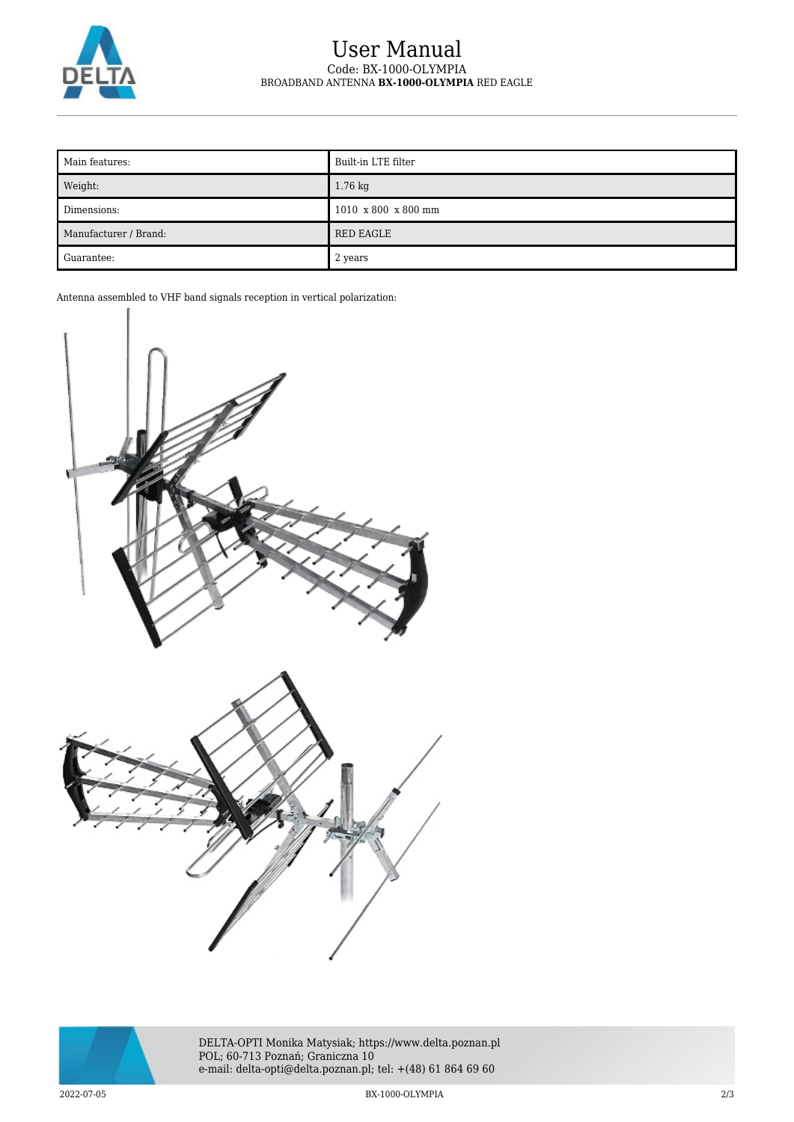

## User Manual Code: BX-1000-OLYMPIA BROADBAND ANTENNA **BX-1000-OLYMPIA** RED EAGLE

| Main features:        | Built-in LTE filter                     |
|-----------------------|-----------------------------------------|
| Weight:               | 1.76 kg                                 |
| Dimensions:           | $1010 \times 800 \times 800 \text{ mm}$ |
| Manufacturer / Brand: | <b>RED EAGLE</b>                        |
| Guarantee:            | 2 years                                 |

Antenna assembled to VHF band signals reception in vertical polarization:





DELTA-OPTI Monika Matysiak; https://www.delta.poznan.pl POL; 60-713 Poznań; Graniczna 10 e-mail: delta-opti@delta.poznan.pl; tel: +(48) 61 864 69 60

2022-07-05 BX-1000-OLYMPIA 2/3